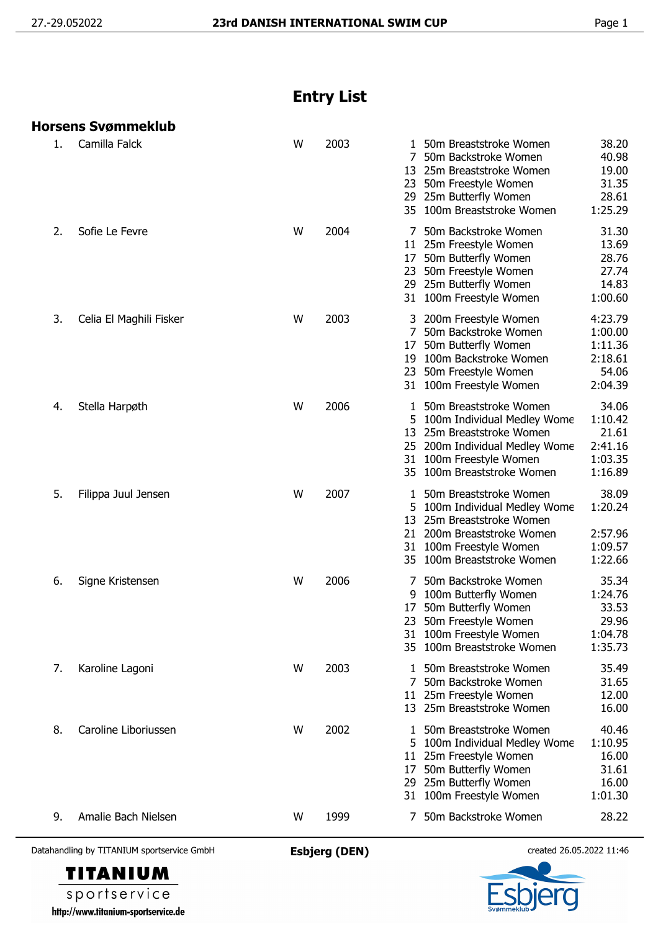## **Entry List**

|    | Horsens Svømmeklub      |   |      |                                                                                                                                                                                                                                                |
|----|-------------------------|---|------|------------------------------------------------------------------------------------------------------------------------------------------------------------------------------------------------------------------------------------------------|
| 1. | Camilla Falck           | W | 2003 | 38.20<br>1 50m Breaststroke Women<br>40.98<br>50m Backstroke Women<br>7<br>13 25m Breaststroke Women<br>19.00<br>31.35<br>50m Freestyle Women<br>23<br>28.61<br>25m Butterfly Women<br>29<br>35 100m Breaststroke Women<br>1:25.29             |
| 2. | Sofie Le Fevre          | W | 2004 | 50m Backstroke Women<br>31.30<br>13.69<br>11 25m Freestyle Women<br>28.76<br>50m Butterfly Women<br>17<br>27.74<br>50m Freestyle Women<br>23<br>29 25m Butterfly Women<br>14.83<br>1:00.60<br>31 100m Freestyle Women                          |
| 3. | Celia El Maghili Fisker | W | 2003 | 4:23.79<br>3 200m Freestyle Women<br>7 50m Backstroke Women<br>1:00.00<br>50m Butterfly Women<br>1:11.36<br>17<br>2:18.61<br>100m Backstroke Women<br>19<br>54.06<br>23 50m Freestyle Women<br>2:04.39<br>31 100m Freestyle Women              |
| 4. | Stella Harpøth          | W | 2006 | 34.06<br>50m Breaststroke Women<br>100m Individual Medley Wome<br>1:10.42<br>21.61<br>25m Breaststroke Women<br>13<br>2:41.16<br>25 200m Individual Medley Wome<br>1:03.35<br>31 100m Freestyle Women<br>1:16.89<br>35 100m Breaststroke Women |
| 5. | Filippa Juul Jensen     | W | 2007 | 38.09<br>50m Breaststroke Women<br>1<br>1:20.24<br>100m Individual Medley Wome<br>25m Breaststroke Women<br>13<br>2:57.96<br>200m Breaststroke Women<br>21<br>1:09.57<br>31 100m Freestyle Women<br>1:22.66<br>35 100m Breaststroke Women      |
| 6. | Signe Kristensen        | W | 2006 | 35.34<br>50m Backstroke Women<br>1:24.76<br>100m Butterfly Women<br>9<br>33.53<br>50m Butterfly Women<br>17<br>23 50m Freestyle Women<br>29.96<br>1:04.78<br>31 100m Freestyle Women<br>1:35.73<br>35 100m Breaststroke Women                  |
| 7. | Karoline Lagoni         | W | 2003 | 35.49<br>50m Breaststroke Women<br>1.<br>31.65<br>7<br>50m Backstroke Women<br>11 25m Freestyle Women<br>12.00<br>13 25m Breaststroke Women<br>16.00                                                                                           |
| 8. | Caroline Liboriussen    | W | 2002 | 40.46<br>50m Breaststroke Women<br>1<br>1:10.95<br>5 100m Individual Medley Wome<br>11 25m Freestyle Women<br>16.00<br>50m Butterfly Women<br>31.61<br>17<br>25m Butterfly Women<br>16.00<br>29<br>31 100m Freestyle Women<br>1:01.30          |
| 9. | Amalie Bach Nielsen     | W | 1999 | 28.22<br>50m Backstroke Women                                                                                                                                                                                                                  |

Datahandling by TITANIUM sportservice GmbH **Esbjerg (DEN)** created 26.05.2022 11:46

**TITANIUM** sportservice http://www.titanium-sportservice.de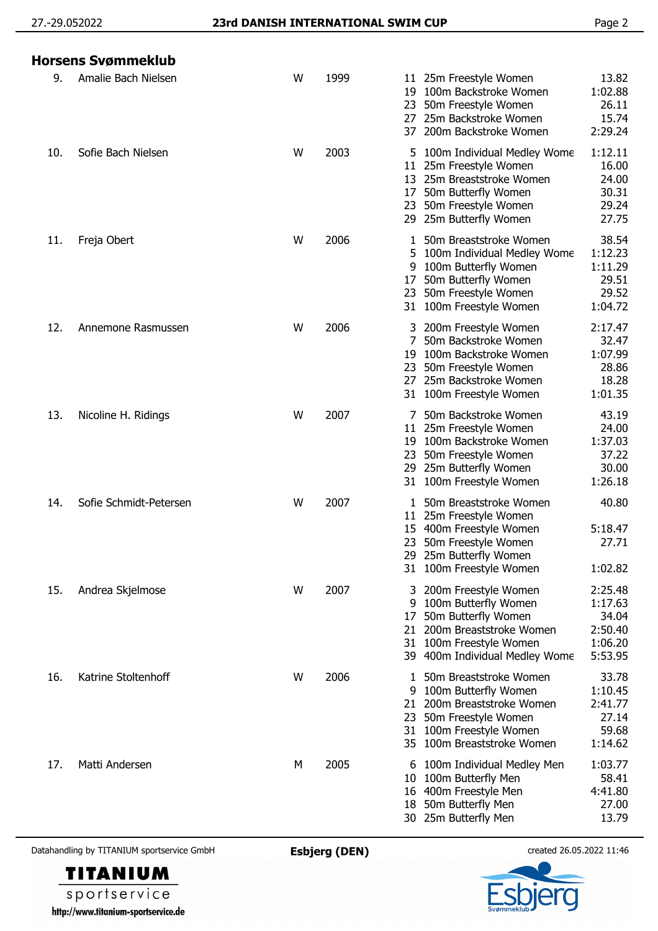## 27.-29.052022 **23rd DANISH INTERNATIONAL SWIM CUP** Page 2

|     | Horsens Svømmeklub     |   |      |                                                                                                                                                                                                                                                      |
|-----|------------------------|---|------|------------------------------------------------------------------------------------------------------------------------------------------------------------------------------------------------------------------------------------------------------|
| 9.  | Amalie Bach Nielsen    | W | 1999 | 13.82<br>25m Freestyle Women<br>11.<br>100m Backstroke Women<br>1:02.88<br>19<br>26.11<br>50m Freestyle Women<br>23<br>15.74<br>25m Backstroke Women<br>27.<br>2:29.24<br>200m Backstroke Women<br>37                                                |
| 10. | Sofie Bach Nielsen     | W | 2003 | 1:12.11<br>5 100m Individual Medley Wome<br>16.00<br>25m Freestyle Women<br>11<br>24.00<br>25m Breaststroke Women<br>13<br>30.31<br>50m Butterfly Women<br>17<br>29.24<br>50m Freestyle Women<br>23<br>27.75<br>25m Butterfly Women<br>29            |
| 11. | Freja Obert            | W | 2006 | 38.54<br>50m Breaststroke Women<br>1<br>1:12.23<br>100m Individual Medley Wome<br>5<br>1:11.29<br>100m Butterfly Women<br>9<br>29.51<br>50m Butterfly Women<br>17<br>29.52<br>50m Freestyle Women<br>23<br>31 100m Freestyle Women<br>1:04.72        |
| 12. | Annemone Rasmussen     | W | 2006 | 3 200m Freestyle Women<br>2:17.47<br>32.47<br>50m Backstroke Women<br>100m Backstroke Women<br>1:07.99<br>19<br>28.86<br>50m Freestyle Women<br>23<br>18.28<br>25m Backstroke Women<br>27<br>1:01.35<br>100m Freestyle Women<br>31                   |
| 13. | Nicoline H. Ridings    | W | 2007 | 43.19<br>50m Backstroke Women<br>24.00<br>25m Freestyle Women<br>11<br>1:37.03<br>100m Backstroke Women<br>19<br>37.22<br>50m Freestyle Women<br>23<br>30.00<br>29 25m Butterfly Women<br>1:26.18<br>31 100m Freestyle Women                         |
| 14. | Sofie Schmidt-Petersen | W | 2007 | 40.80<br>50m Breaststroke Women<br>25m Freestyle Women<br>11<br>5:18.47<br>400m Freestyle Women<br>15<br>50m Freestyle Women<br>27.71<br>23.<br>29 25m Butterfly Women<br>31 100m Freestyle Women<br>1:02.82                                         |
| 15. | Andrea Skjelmose       | W | 2007 | 2:25.48<br>200m Freestyle Women<br>3<br>1:17.63<br>100m Butterfly Women<br>9<br>50m Butterfly Women<br>34.04<br>17<br>200m Breaststroke Women<br>2:50.40<br>21<br>1:06.20<br>100m Freestyle Women<br>31<br>5:53.95<br>39 400m Individual Medley Wome |
| 16. | Katrine Stoltenhoff    | W | 2006 | 33.78<br>50m Breaststroke Women<br>1<br>1:10.45<br>100m Butterfly Women<br>9<br>2:41.77<br>200m Breaststroke Women<br>21<br>27.14<br>50m Freestyle Women<br>23<br>100m Freestyle Women<br>59.68<br>31<br>100m Breaststroke Women<br>1:14.62<br>35    |
| 17. | Matti Andersen         | М | 2005 | 1:03.77<br>100m Individual Medley Men<br>6<br>58.41<br>100m Butterfly Men<br>10<br>4:41.80<br>16 400m Freestyle Men<br>50m Butterfly Men<br>27.00<br>18<br>30 25m Butterfly Men<br>13.79                                                             |

Datahandling by TITANIUM sportservice GmbH **Esbjerg (DEN)** created 26.05.2022 11:46



sportservice http://www.titanium-sportservice.de

**TITANIUM**